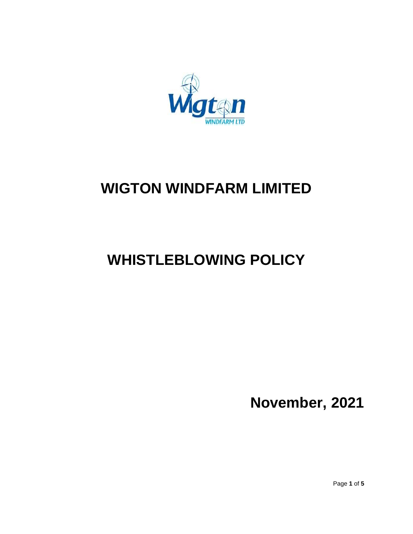

# **WIGTON WINDFARM LIMITED**

# **WHISTLEBLOWING POLICY**

**November, 2021**

Page **1** of **5**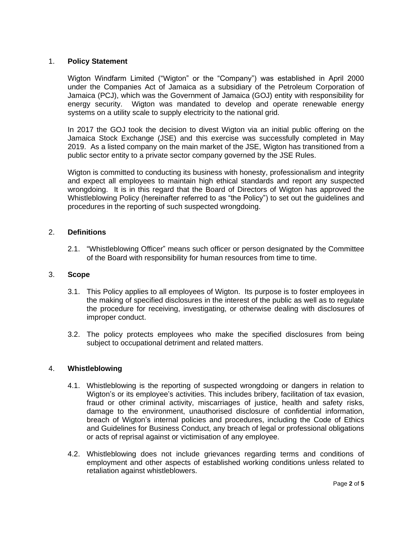## 1. **Policy Statement**

Wigton Windfarm Limited ("Wigton" or the "Company") was established in April 2000 under the Companies Act of Jamaica as a subsidiary of the Petroleum Corporation of Jamaica (PCJ), which was the Government of Jamaica (GOJ) entity with responsibility for energy security. Wigton was mandated to develop and operate renewable energy systems on a utility scale to supply electricity to the national grid.

In 2017 the GOJ took the decision to divest Wigton via an initial public offering on the Jamaica Stock Exchange (JSE) and this exercise was successfully completed in May 2019. As a listed company on the main market of the JSE, Wigton has transitioned from a public sector entity to a private sector company governed by the JSE Rules.

Wigton is committed to conducting its business with honesty, professionalism and integrity and expect all employees to maintain high ethical standards and report any suspected wrongdoing. It is in this regard that the Board of Directors of Wigton has approved the Whistleblowing Policy (hereinafter referred to as "the Policy") to set out the guidelines and procedures in the reporting of such suspected wrongdoing.

## 2. **Definitions**

2.1. "Whistleblowing Officer" means such officer or person designated by the Committee of the Board with responsibility for human resources from time to time.

## 3. **Scope**

- 3.1. This Policy applies to all employees of Wigton. Its purpose is to foster employees in the making of specified disclosures in the interest of the public as well as to regulate the procedure for receiving, investigating, or otherwise dealing with disclosures of improper conduct.
- 3.2. The policy protects employees who make the specified disclosures from being subject to occupational detriment and related matters.

## 4. **Whistleblowing**

- 4.1. Whistleblowing is the reporting of suspected wrongdoing or dangers in relation to Wigton's or its employee's activities. This includes bribery, facilitation of tax evasion, fraud or other criminal activity, miscarriages of justice, health and safety risks, damage to the environment, unauthorised disclosure of confidential information, breach of Wigton's internal policies and procedures, including the Code of Ethics and Guidelines for Business Conduct, any breach of legal or professional obligations or acts of reprisal against or victimisation of any employee.
- 4.2. Whistleblowing does not include grievances regarding terms and conditions of employment and other aspects of established working conditions unless related to retaliation against whistleblowers.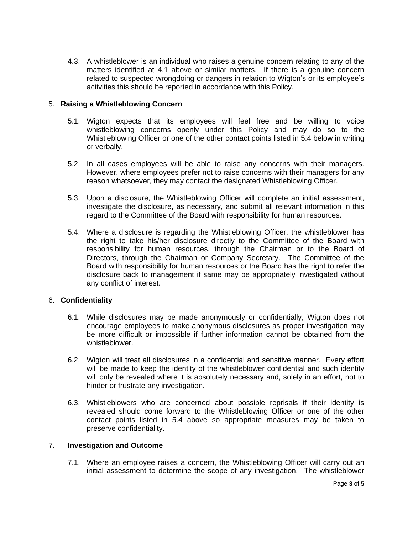4.3. A whistleblower is an individual who raises a genuine concern relating to any of the matters identified at 4.1 above or similar matters. If there is a genuine concern related to suspected wrongdoing or dangers in relation to Wigton's or its employee's activities this should be reported in accordance with this Policy.

## 5. **Raising a Whistleblowing Concern**

- 5.1. Wigton expects that its employees will feel free and be willing to voice whistleblowing concerns openly under this Policy and may do so to the Whistleblowing Officer or one of the other contact points listed in 5.4 below in writing or verbally.
- 5.2. In all cases employees will be able to raise any concerns with their managers. However, where employees prefer not to raise concerns with their managers for any reason whatsoever, they may contact the designated Whistleblowing Officer.
- 5.3. Upon a disclosure, the Whistleblowing Officer will complete an initial assessment, investigate the disclosure, as necessary, and submit all relevant information in this regard to the Committee of the Board with responsibility for human resources.
- 5.4. Where a disclosure is regarding the Whistleblowing Officer, the whistleblower has the right to take his/her disclosure directly to the Committee of the Board with responsibility for human resources, through the Chairman or to the Board of Directors, through the Chairman or Company Secretary. The Committee of the Board with responsibility for human resources or the Board has the right to refer the disclosure back to management if same may be appropriately investigated without any conflict of interest.

# 6. **Confidentiality**

- 6.1. While disclosures may be made anonymously or confidentially, Wigton does not encourage employees to make anonymous disclosures as proper investigation may be more difficult or impossible if further information cannot be obtained from the whistleblower.
- 6.2. Wigton will treat all disclosures in a confidential and sensitive manner. Every effort will be made to keep the identity of the whistleblower confidential and such identity will only be revealed where it is absolutely necessary and, solely in an effort, not to hinder or frustrate any investigation.
- 6.3. Whistleblowers who are concerned about possible reprisals if their identity is revealed should come forward to the Whistleblowing Officer or one of the other contact points listed in 5.4 above so appropriate measures may be taken to preserve confidentiality.

## 7. **Investigation and Outcome**

7.1. Where an employee raises a concern, the Whistleblowing Officer will carry out an initial assessment to determine the scope of any investigation. The whistleblower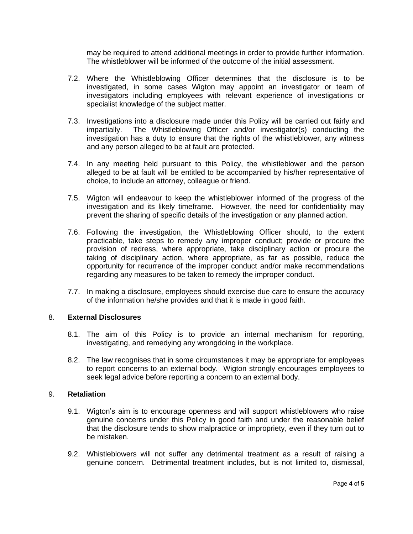may be required to attend additional meetings in order to provide further information. The whistleblower will be informed of the outcome of the initial assessment.

- 7.2. Where the Whistleblowing Officer determines that the disclosure is to be investigated, in some cases Wigton may appoint an investigator or team of investigators including employees with relevant experience of investigations or specialist knowledge of the subject matter.
- 7.3. Investigations into a disclosure made under this Policy will be carried out fairly and impartially. The Whistleblowing Officer and/or investigator(s) conducting the investigation has a duty to ensure that the rights of the whistleblower, any witness and any person alleged to be at fault are protected.
- 7.4. In any meeting held pursuant to this Policy, the whistleblower and the person alleged to be at fault will be entitled to be accompanied by his/her representative of choice, to include an attorney, colleague or friend.
- 7.5. Wigton will endeavour to keep the whistleblower informed of the progress of the investigation and its likely timeframe. However, the need for confidentiality may prevent the sharing of specific details of the investigation or any planned action.
- 7.6. Following the investigation, the Whistleblowing Officer should, to the extent practicable, take steps to remedy any improper conduct; provide or procure the provision of redress, where appropriate, take disciplinary action or procure the taking of disciplinary action, where appropriate, as far as possible, reduce the opportunity for recurrence of the improper conduct and/or make recommendations regarding any measures to be taken to remedy the improper conduct.
- 7.7. In making a disclosure, employees should exercise due care to ensure the accuracy of the information he/she provides and that it is made in good faith.

## 8. **External Disclosures**

- 8.1. The aim of this Policy is to provide an internal mechanism for reporting, investigating, and remedying any wrongdoing in the workplace.
- 8.2. The law recognises that in some circumstances it may be appropriate for employees to report concerns to an external body. Wigton strongly encourages employees to seek legal advice before reporting a concern to an external body.

## 9. **Retaliation**

- 9.1. Wigton's aim is to encourage openness and will support whistleblowers who raise genuine concerns under this Policy in good faith and under the reasonable belief that the disclosure tends to show malpractice or impropriety, even if they turn out to be mistaken.
- 9.2. Whistleblowers will not suffer any detrimental treatment as a result of raising a genuine concern. Detrimental treatment includes, but is not limited to, dismissal,